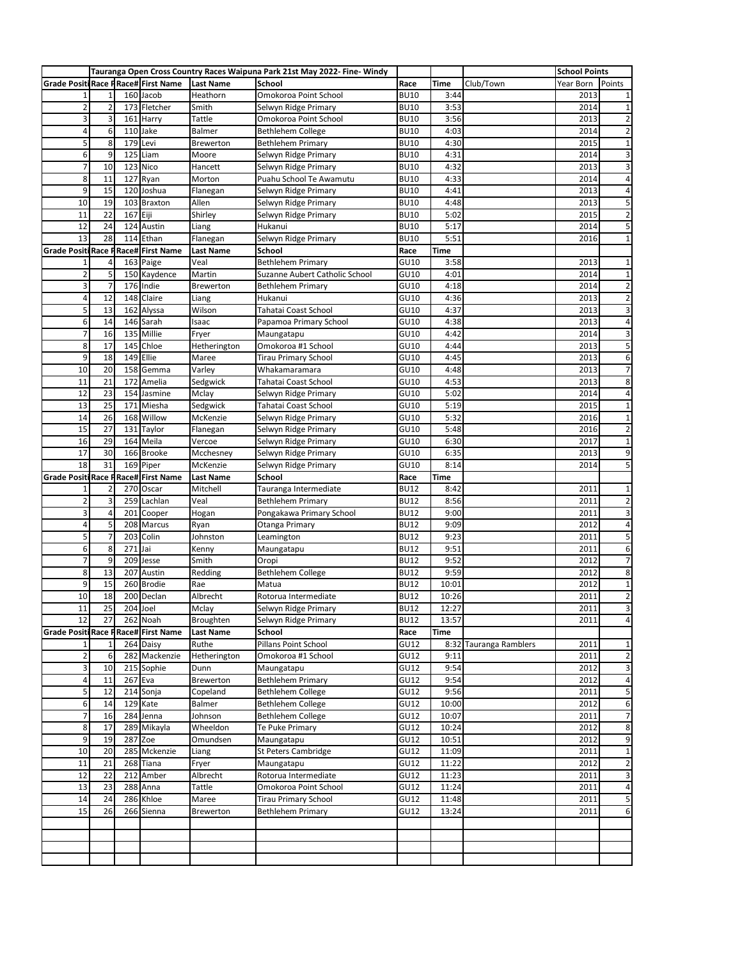|                                            |                | Tauranga Open Cross Country Races Waipuna Park 21st May 2022- Fine- Windy |                                |                  |                                |             |             |                   | <b>School Points</b> |                |
|--------------------------------------------|----------------|---------------------------------------------------------------------------|--------------------------------|------------------|--------------------------------|-------------|-------------|-------------------|----------------------|----------------|
| <b>Grade Positi Race PRace# First Name</b> |                |                                                                           |                                | <b>Last Name</b> | School                         | Race        | <b>Time</b> | Club/Town         | Year Born            | Points         |
| $\mathbf{1}$                               | 1              |                                                                           | 160 Jacob                      | Heathorn         | Omokoroa Point School          | <b>BU10</b> | 3:44        |                   | 2013                 | $\mathbf 1$    |
| $\overline{\mathbf{c}}$                    | $\overline{2}$ |                                                                           | 173 Fletcher                   | Smith            | Selwyn Ridge Primary           | <b>BU10</b> | 3:53        |                   | 2014                 | $\mathbf{1}$   |
| 3                                          | 3              |                                                                           | 161 Harry                      | Tattle           | Omokoroa Point School          | <b>BU10</b> | 3:56        |                   | 2013                 | $\overline{2}$ |
| 4                                          | 6              |                                                                           | 110 Jake                       | Balmer           | <b>Bethlehem College</b>       | <b>BU10</b> | 4:03        |                   | 2014                 | $\overline{2}$ |
| 5                                          | 8              | 179                                                                       | Levi                           | <b>Brewerton</b> | Bethlehem Primary              | <b>BU10</b> | 4:30        |                   | 2015                 | $\mathbf 1$    |
| 6                                          | 9              | 125                                                                       | Liam                           | Moore            | Selwyn Ridge Primary           | <b>BU10</b> | 4:31        |                   | 2014                 | 3              |
| 7                                          | 10             | 123                                                                       | Nico                           | Hancett          | Selwyn Ridge Primary           | <b>BU10</b> | 4:32        |                   | 2013                 | 3              |
| 8                                          | 11             | 127                                                                       | Ryan                           | Morton           | Puahu School Te Awamutu        | <b>BU10</b> | 4:33        |                   | 2014                 | 4              |
| 9                                          | 15             | 120                                                                       | Joshua                         | Flanegan         | Selwyn Ridge Primary           | <b>BU10</b> | 4:41        |                   | 2013                 | 4              |
| 10                                         | 19             |                                                                           | 103 Braxton                    | Allen            | Selwyn Ridge Primary           | <b>BU10</b> | 4:48        |                   | 2013                 | 5              |
| 11                                         | 22             | 167 Eiji                                                                  |                                | Shirley          | Selwyn Ridge Primary           | <b>BU10</b> | 5:02        |                   | 2015                 | $\overline{2}$ |
| 12                                         | 24             | 124                                                                       | Austin                         | Liang            | Hukanui                        | <b>BU10</b> | 5:17        |                   | 2014                 | 5              |
| 13                                         | 28             |                                                                           | 114 Ethan                      | Flanegan         | Selwyn Ridge Primary           | <b>BU10</b> | 5:51        |                   | 2016                 | $\mathbf 1$    |
| <b>Grade Positi Race P</b>                 |                |                                                                           | Race# First Name               | <b>Last Name</b> | School                         | Race        | Time        |                   |                      |                |
| 1                                          | 4              |                                                                           | 163 Paige                      | Veal             | <b>Bethlehem Primary</b>       | GU10        | 3:58        |                   | 2013                 | $\mathbf{1}$   |
| $\overline{\mathbf{c}}$                    | 5              |                                                                           | 150 Kaydence                   | Martin           | Suzanne Aubert Catholic School | GU10        | 4:01        |                   | 2014                 | $\mathbf 1$    |
| 3                                          | 7              |                                                                           | 176 Indie                      | Brewerton        | <b>Bethlehem Primary</b>       | GU10        | 4:18        |                   | 2014                 | $\overline{2}$ |
| 4                                          | 12             |                                                                           | 148 Claire                     | Liang            | Hukanui                        | GU10        | 4:36        |                   | 2013                 | $\overline{2}$ |
| 5                                          | 13             | 162                                                                       | Alyssa                         | Wilson           | Tahatai Coast School           | GU10        | 4:37        |                   | 2013                 | 3              |
| 6                                          | 14             |                                                                           | 146 Sarah                      | Isaac            | Papamoa Primary School         | GU10        | 4:38        |                   | 2013                 | 4              |
| 7                                          | 16             |                                                                           | 135 Millie                     | Fryer            | Maungatapu                     | GU10        | 4:42        |                   | 2014                 | 3              |
| 8                                          | 17             | 145                                                                       | Chloe                          | Hetherington     | Omokoroa #1 School             | GU10        | 4:44        |                   | 2013                 | 5              |
| 9                                          | 18             | 149                                                                       | Ellie                          | Maree            | <b>Tirau Primary School</b>    | GU10        | 4:45        |                   | 2013                 | 6              |
| 10                                         | 20             |                                                                           | 158 Gemma                      | Varley           | Whakamaramara                  | GU10        | 4:48        |                   | 2013                 | $\overline{7}$ |
|                                            | 21             | 172                                                                       |                                |                  |                                | GU10        | 4:53        |                   | 2013                 |                |
| 11                                         |                |                                                                           | Amelia                         | Sedgwick         | Tahatai Coast School           |             |             |                   |                      | 8              |
| 12                                         | 23             |                                                                           | 154 Jasmine                    | Mclay            | Selwyn Ridge Primary           | GU10        | 5:02        |                   | 2014                 | 4              |
| 13                                         | 25             |                                                                           | 171 Miesha                     | Sedgwick         | Tahatai Coast School           | GU10        | 5:19        |                   | 2015                 | $\mathbf 1$    |
| 14                                         | 26             | 168                                                                       | Willow                         | McKenzie         | Selwyn Ridge Primary           | GU10        | 5:32        |                   | 2016                 | $1\,$          |
| 15                                         | 27             |                                                                           | 131 Taylor                     | Flanegan         | Selwyn Ridge Primary           | GU10        | 5:48        |                   | 2016                 | $\overline{2}$ |
| 16                                         | 29             |                                                                           | 164 Meila                      | Vercoe           | Selwyn Ridge Primary           | GU10        | 6:30        |                   | 2017                 | $\mathbf 1$    |
| 17                                         | 30             |                                                                           | 166 Brooke                     | Mcchesney        | Selwyn Ridge Primary           | GU10        | 6:35        |                   | 2013                 | 9              |
| 18                                         | 31             |                                                                           | 169 Piper                      | McKenzie         | Selwyn Ridge Primary           | GU10        | 8:14        |                   | 2014                 | 5              |
| <b>Grade Positi</b>                        |                |                                                                           | <b>Race P Race# First Name</b> | <b>Last Name</b> | School                         | Race        | Time        |                   |                      |                |
|                                            | $\overline{2}$ |                                                                           | 270 Oscar                      | Mitchell         | Tauranga Intermediate          | <b>BU12</b> | 8:42        |                   | 2011                 | $1\,$          |
| $\overline{\mathbf{c}}$                    | 3              |                                                                           | 259 Lachlan                    | Veal             | <b>Bethlehem Primary</b>       | <b>BU12</b> | 8:56        |                   | 2011                 | $\overline{2}$ |
| 3                                          | 4              |                                                                           | 201 Cooper                     | Hogan            | Pongakawa Primary School       | <b>BU12</b> | 9:00        |                   | 2011                 | 3              |
| 4                                          | 5              | 208                                                                       | Marcus                         | Ryan             | Otanga Primary                 | <b>BU12</b> | 9:09        |                   | 2012                 | 4              |
| 5                                          | 7              | 203                                                                       | Colin                          | Johnston         | Leamington                     | <b>BU12</b> | 9:23        |                   | 2011                 | 5              |
| 6                                          | 8              | 271                                                                       | Jai                            | Kenny            | Maungatapu                     | <b>BU12</b> | 9:51        |                   | 2011                 | 6              |
| $\overline{7}$                             | 9              | 209                                                                       | Jesse                          | Smith            | Oropi                          | <b>BU12</b> | 9:52        |                   | 2012                 | $\overline{7}$ |
| 8                                          | 13             | 207                                                                       | Austin                         | Redding          | <b>Bethlehem College</b>       | <b>BU12</b> | 9:59        |                   | 2012                 | 8              |
| 9                                          | 15             |                                                                           | 260 Brodie                     | Rae              | Matua                          | <b>BU12</b> | 10:01       |                   | 2012                 | $\mathbf{1}$   |
| 10                                         | 18             |                                                                           | 200 Declan                     | Albrecht         | Rotorua Intermediate           | <b>BU12</b> | 10:26       |                   | 2011                 | $\overline{2}$ |
| 11                                         | 25             |                                                                           | 204 Joel                       | Mclay            | Selwyn Ridge Primary           | <b>BU12</b> | 12:27       |                   | 2011                 | 3              |
| 12                                         | 27             |                                                                           | 262 Noah                       | Broughten        | Selwyn Ridge Primary           | <b>BU12</b> | 13:57       |                   | 2011                 | 4              |
| <b>Grade Positi Race PRace# First Name</b> |                |                                                                           |                                | <b>Last Name</b> | School                         | Race        | Time        |                   |                      |                |
| 1                                          | 1              |                                                                           | 264 Daisy                      | Ruthe            | Pillans Point School           | GU12        | 8:32        | Tauranga Ramblers | 2011                 | $\mathbf 1$    |
| 2                                          | 6              |                                                                           | 282 Mackenzie                  | Hetherington     | Omokoroa #1 School             | GU12        | 9:11        |                   | 2011                 | $\overline{2}$ |
| 3                                          | 10             |                                                                           | 215 Sophie                     | Dunn             | Maungatapu                     | GU12        | 9:54        |                   | 2012                 | 3              |
| 4                                          | 11             |                                                                           | 267 Eva                        | Brewerton        | Bethlehem Primary              | GU12        | 9:54        |                   | 2012                 | 4              |
| 5                                          | 12             |                                                                           | 214 Sonja                      | Copeland         | <b>Bethlehem College</b>       | GU12        | 9:56        |                   | 2011                 | 5              |
| 6                                          | 14             |                                                                           | 129 Kate                       | Balmer           | <b>Bethlehem College</b>       | GU12        | 10:00       |                   | 2012                 | 6              |
| 7                                          | 16             |                                                                           | 284 Jenna                      | Johnson          | <b>Bethlehem College</b>       | GU12        | 10:07       |                   | 2011                 | 7              |
| 8                                          | 17             |                                                                           | 289 Mikayla                    | Wheeldon         | Te Puke Primary                | GU12        | 10:24       |                   | 2012                 | 8              |
| 9                                          | 19             |                                                                           | 287 Zoe                        | Omundsen         | Maungatapu                     | GU12        | 10:51       |                   | 2012                 | 9              |
| 10                                         | 20             |                                                                           | 285 Mckenzie                   | Liang            | St Peters Cambridge            | GU12        | 11:09       |                   | 2011                 | 1              |
| 11                                         | 21             |                                                                           | 268 Tiana                      | Fryer            | Maungatapu                     | GU12        | 11:22       |                   | 2012                 | $\overline{2}$ |
| 12                                         | 22             |                                                                           | 212 Amber                      | Albrecht         | Rotorua Intermediate           | GU12        | 11:23       |                   | 2011                 | 3              |
| 13                                         | 23             |                                                                           | 288 Anna                       | Tattle           | Omokoroa Point School          | GU12        | 11:24       |                   | 2011                 | 4              |
| 14                                         | 24             |                                                                           | 286 Khloe                      | Maree            | <b>Tirau Primary School</b>    | GU12        | 11:48       |                   | 2011                 | 5              |
| 15                                         | 26             |                                                                           | 266 Sienna                     | <b>Brewerton</b> | Bethlehem Primary              | GU12        | 13:24       |                   | 2011                 | 6              |
|                                            |                |                                                                           |                                |                  |                                |             |             |                   |                      |                |
|                                            |                |                                                                           |                                |                  |                                |             |             |                   |                      |                |
|                                            |                |                                                                           |                                |                  |                                |             |             |                   |                      |                |
|                                            |                |                                                                           |                                |                  |                                |             |             |                   |                      |                |
|                                            |                |                                                                           |                                |                  |                                |             |             |                   |                      |                |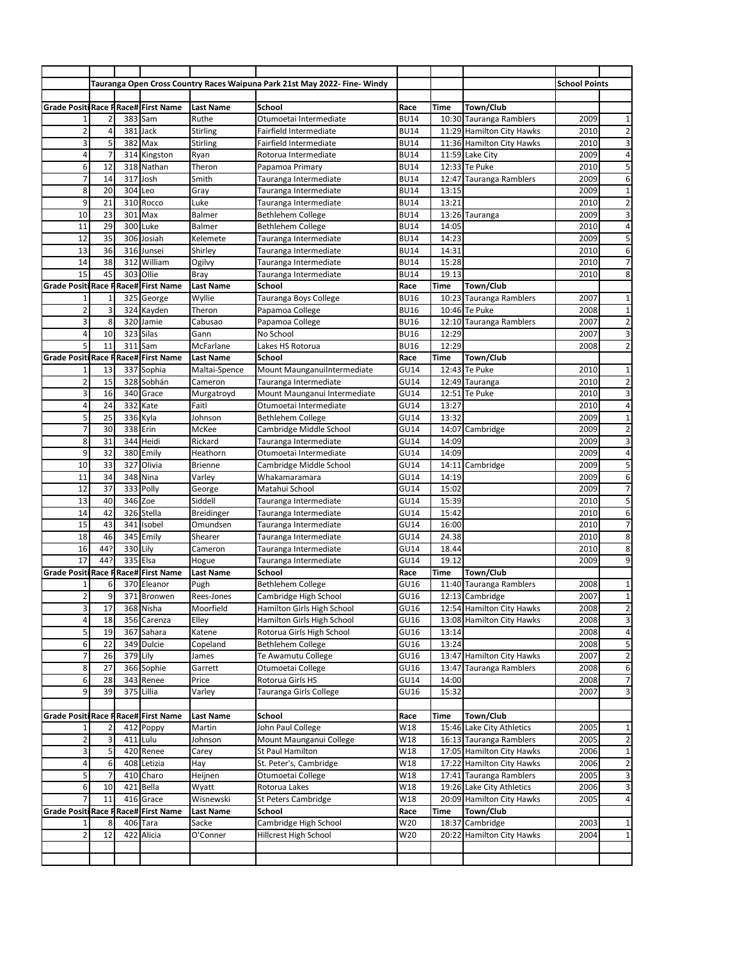|                                            |                 |     |                         |                               | Tauranga Open Cross Country Races Waipuna Park 21st May 2022- Fine- Windy |                     |                |                           | <b>School Points</b> |                |
|--------------------------------------------|-----------------|-----|-------------------------|-------------------------------|---------------------------------------------------------------------------|---------------------|----------------|---------------------------|----------------------|----------------|
|                                            |                 |     |                         |                               |                                                                           |                     |                |                           |                      |                |
| <b>Grade Positi Race PRace# First Name</b> |                 |     |                         | <b>Last Name</b>              | School                                                                    | Race                | Time           | Town/Club                 |                      |                |
|                                            | 2               |     | 383 Sam                 | Ruthe                         | Otumoetai Intermediate                                                    | <b>BU14</b>         |                | 10:30 Tauranga Ramblers   | 2009                 | 1              |
| 2                                          | $\overline{4}$  |     | 381 Jack                | Stirling                      | Fairfield Intermediate                                                    | <b>BU14</b>         |                | 11:29 Hamilton City Hawks | 2010                 | $\overline{2}$ |
| 3                                          | 5               | 382 | Max                     | <b>Stirling</b>               | Fairfield Intermediate                                                    | <b>BU14</b>         |                | 11:36 Hamilton City Hawks | 2010                 | 3              |
| 4                                          | 7               | 314 | Kingston                | Ryan                          | Rotorua Intermediate                                                      | <b>BU14</b>         |                | 11:59 Lake City           | 2009                 | 4              |
| 6                                          | 12              |     | 318 Nathan              | Theron                        | Papamoa Primary                                                           | <b>BU14</b>         |                | 12:33 Te Puke             | 2010                 | 5              |
| 7                                          | 14              | 317 | Josh                    | Smith                         | Tauranga Intermediate                                                     | <b>BU14</b>         |                | 12:47 Tauranga Ramblers   | 2009                 | 6              |
| 8                                          | 20              | 304 | Leo                     | Gray                          | Tauranga Intermediate                                                     | <b>BU14</b>         | 13:15          |                           | 2009                 | $1\,$          |
| 9                                          | 21              |     | 310 Rocco               | Luke                          | Tauranga Intermediate                                                     | <b>BU14</b>         | 13:21          |                           | 2010                 | $\overline{2}$ |
| 10                                         | 23              | 301 | Max                     | Balmer                        | <b>Bethlehem College</b>                                                  | <b>BU14</b>         |                | 13:26 Tauranga            | 2009                 | 3              |
| 11                                         | 29              | 300 | Luke                    | Balmer                        | <b>Bethlehem College</b>                                                  | <b>BU14</b>         | 14:05          |                           | 2010                 | 4              |
| 12                                         | 35              |     | 306 Josiah              | Kelemete                      | Tauranga Intermediate                                                     | <b>BU14</b>         | 14:23          |                           | 2009                 | 5              |
| 13                                         | 36              |     | 316 Junsei              | Shirley                       | Tauranga Intermediate                                                     | <b>BU14</b>         | 14:31          |                           | 2010                 | 6              |
| 14                                         | 38              | 312 | William                 | Ogilvy                        | Tauranga Intermediate                                                     | <b>BU14</b>         | 15:28          |                           | 2010                 | 7              |
| 15                                         | 45              | 303 | Ollie                   | Bray                          | Tauranga Intermediate                                                     | <b>BU14</b>         | 19.13          |                           | 2010                 | 8              |
| <b>Grade Positi</b>                        | Race P          |     | <b>Race# First Name</b> | <b>Last Name</b>              | School                                                                    | Race                | Time           | Town/Club                 |                      |                |
| 1                                          | $\mathbf{1}$    |     | 325 George              | Wyllie                        | Tauranga Boys College                                                     | <b>BU16</b>         |                | 10:23 Tauranga Ramblers   | 2007                 | $1\,$          |
| $\overline{\mathbf{c}}$                    | 3               |     | 324 Kayden              | Theron                        | Papamoa College                                                           | <b>BU16</b>         |                | 10:46 Te Puke             | 2008                 | $\mathbf{1}$   |
| 3                                          | 8               | 320 | Jamie                   | Cabusao                       | Papamoa College                                                           | <b>BU16</b>         |                | 12:10 Tauranga Ramblers   | 2007                 | $\overline{2}$ |
| 4                                          | 10              |     | 323 Silas               | Gann                          | No School                                                                 | <b>BU16</b>         | 12:29          |                           | 2007                 | 3              |
| 5                                          | 11              | 311 | Sam                     | McFarlane                     | Lakes HS Rotorua                                                          | <b>BU16</b>         | 12:29          |                           | 2008                 | $\overline{2}$ |
| <b>Grade Positi</b>                        | Race P          |     | <b>Race# First Name</b> | <b>Last Name</b>              | School                                                                    | Race                | Time           | Town/Club                 |                      |                |
|                                            | 13              |     | 337 Sophia              | Maltai-Spence                 | Mount MaunganuiIntermediate                                               | GU14                |                | 12:43 Te Puke             | 2010                 | $1\,$          |
| 2                                          | 15              |     | 328 Sobhán              | Cameron                       | Tauranga Intermediate                                                     | <b>GU14</b>         |                | 12:49 Tauranga            | 2010                 | $\overline{2}$ |
| 3                                          | 16              |     | 340 Grace               | Murgatroyd                    | Mount Maunganui Intermediate                                              | GU14                |                | 12:51 Te Puke             | 2010                 | 3              |
| 4                                          | 24              |     | 332 Kate                | Faitl                         | Otumoetai Intermediate                                                    | <b>GU14</b>         | 13:27          |                           | 2010                 | $\overline{4}$ |
| 5                                          | 25              |     | 336 Kyla                | Johnson                       | <b>Bethlehem College</b>                                                  | GU14                | 13:32          |                           | 2009                 | 1              |
| 7                                          | 30              |     | 338 Erin                | McKee                         | Cambridge Middle School                                                   | GU14                |                | 14:07 Cambridge           | 2009                 | $\overline{2}$ |
| 8                                          | 31              | 344 | Heidi                   | Rickard                       | Tauranga Intermediate                                                     | <b>GU14</b>         | 14:09          |                           | 2009                 | 3              |
| 9                                          | 32              |     | 380 Emily               | Heathorn                      | Otumoetai Intermediate                                                    | GU14                | 14:09          |                           | 2009                 | 4              |
| 10                                         | 33              | 327 | Olivia                  | <b>Brienne</b>                |                                                                           | GU14                | 14:11          | Cambridge                 | 2009                 | 5              |
| 11                                         | 34              | 348 | Nina                    | Varley                        | Cambridge Middle School<br>Whakamaramara                                  | GU14                | 14:19          |                           | 2009                 | 6              |
| 12                                         |                 | 333 | Polly                   |                               | Matahui School                                                            | <b>GU14</b>         |                |                           | 2009                 | $\overline{7}$ |
| 13                                         | 37<br>40        |     | 346 Zoe                 | George                        |                                                                           |                     | 15:02<br>15:39 |                           | 2010                 | 5              |
| 14                                         | 42              |     | 326 Stella              | Siddell                       | Tauranga Intermediate                                                     | GU14<br><b>GU14</b> | 15:42          |                           | 2010                 | 6              |
| 15                                         | 43              | 341 | Isobel                  | <b>Breidinger</b><br>Omundsen | Tauranga Intermediate<br>Tauranga Intermediate                            | GU14                | 16:00          |                           | 2010                 | $\overline{7}$ |
|                                            |                 |     | 345 Emily               |                               |                                                                           | <b>GU14</b>         |                |                           |                      |                |
| 18<br>16                                   | 46<br>44?       |     | 330 Lily                | Shearer<br>Cameron            | Tauranga Intermediate                                                     |                     | 24.38          |                           | 2010<br>2010         | 8              |
|                                            | 44?             |     |                         |                               | Tauranga Intermediate                                                     | GU14                | 18.44          |                           |                      | 8              |
| 17<br><b>Grade Positi</b>                  |                 |     | 335 Elsa                | Hogue                         | Tauranga Intermediate                                                     | <b>GU14</b>         | 19.12          |                           | 2009                 | 9              |
|                                            |                 |     | Race PRace# First Name  | <b>Last Name</b>              | School                                                                    | Race                | Time           | Town/Club                 |                      |                |
| 1                                          | 6               |     | 370 Eleanor             | Pugh                          | <b>Bethlehem College</b>                                                  | GU16                |                | 11:40 Tauranga Ramblers   | 2008                 | 1              |
| 2                                          | 9               |     | 371 Bronwen             | Rees-Jones                    | Cambridge High School                                                     | GU16                |                | 12:13 Cambridge           | 2007                 | $1\,$          |
| 3                                          | $\overline{17}$ |     | 368 Nisha               | Moorfield                     | Hamilton Girls High School                                                | GU16                |                | 12:54 Hamilton City Hawks | 2008                 | $\overline{2}$ |
| 4                                          | 18              |     | 356 Carenza             | Elley                         | Hamilton Girls High School                                                | GU16                |                | 13:08 Hamilton City Hawks | 2008                 | 3              |
| 5                                          | 19              |     | 367 Sahara              | Katene                        | Rotorua Girls High School                                                 | GU16                | 13:14          |                           | 2008                 | 4              |
| 6                                          | 22              |     | 349 Dulcie              | Copeland                      | <b>Bethlehem College</b>                                                  | GU16                | 13:24          |                           | 2008                 | 5              |
| 7                                          | 26              |     | 379 Lily                | James                         | Te Awamutu College                                                        | GU16                |                | 13:47 Hamilton City Hawks | 2007                 | $\overline{2}$ |
| 8                                          | 27              |     | 366 Sophie              | Garrett                       | Otumoetai College                                                         | GU16                |                | 13:47 Tauranga Ramblers   | 2008                 | 6              |
| 6                                          | 28              |     | 343 Renee               | Price                         | Rotorua Girls HS                                                          | GU14                | 14:00          |                           | 2008                 | 7              |
| 9                                          | 39              |     | 375 Lillia              | Varley                        | Tauranga Girls College                                                    | GU16                | 15:32          |                           | 2007                 | 3              |
|                                            |                 |     |                         |                               |                                                                           |                     |                |                           |                      |                |
| <b>Grade Positi Race P</b>                 |                 |     | Race# First Name        | <b>Last Name</b>              | School                                                                    | Race                | Time           | Town/Club                 |                      |                |
|                                            | 2               |     | 412 Poppy               | Martin                        | John Paul College                                                         | W18                 |                | 15:46 Lake City Athletics | 2005                 | $1\,$          |
| $\overline{\mathbf{c}}$                    | 3               |     | 411 Lulu                | Johnson                       | Mount Maunganui College                                                   | W18                 |                | 16:13 Tauranga Ramblers   | 2005                 | $\overline{2}$ |
| 3                                          | 5               |     | 420 Renee               | Carey                         | St Paul Hamilton                                                          | W18                 |                | 17:05 Hamilton City Hawks | 2006                 | 1              |
| 4                                          | 6               |     | 408 Letizia             | Hay                           | St. Peter's, Cambridge                                                    | W18                 |                | 17:22 Hamilton City Hawks | 2006                 | $\overline{2}$ |
| 5                                          | $\overline{7}$  |     | 410 Charo               | Heijnen                       | Otumoetai College                                                         | W18                 |                | 17:41 Tauranga Ramblers   | 2005                 | 3              |
| 6                                          | 10              | 421 | Bella                   | Wyatt                         | Rotorua Lakes                                                             | W18                 |                | 19:26 Lake City Athletics | 2006                 | 3              |
| $\overline{7}$                             | 11              |     | 416 Grace               | Wisnewski                     | St Peters Cambridge                                                       | W18                 |                | 20:09 Hamilton City Hawks | 2005                 | 4              |
| <b>Grade Positi Race P</b>                 |                 |     | Race# First Name        | <b>Last Name</b>              | School                                                                    | Race                | Time           | Town/Club                 |                      |                |
|                                            | 8               | 406 | Tara                    | Sacke                         | Cambridge High School                                                     | W20                 |                | 18:37 Cambridge           | 2003                 | $\mathbf 1$    |
| 2                                          | 12              |     | 422 Alicia              | O'Conner                      | Hillcrest High School                                                     | W20                 |                | 20:22 Hamilton City Hawks | 2004                 | $1\,$          |
|                                            |                 |     |                         |                               |                                                                           |                     |                |                           |                      |                |
|                                            |                 |     |                         |                               |                                                                           |                     |                |                           |                      |                |